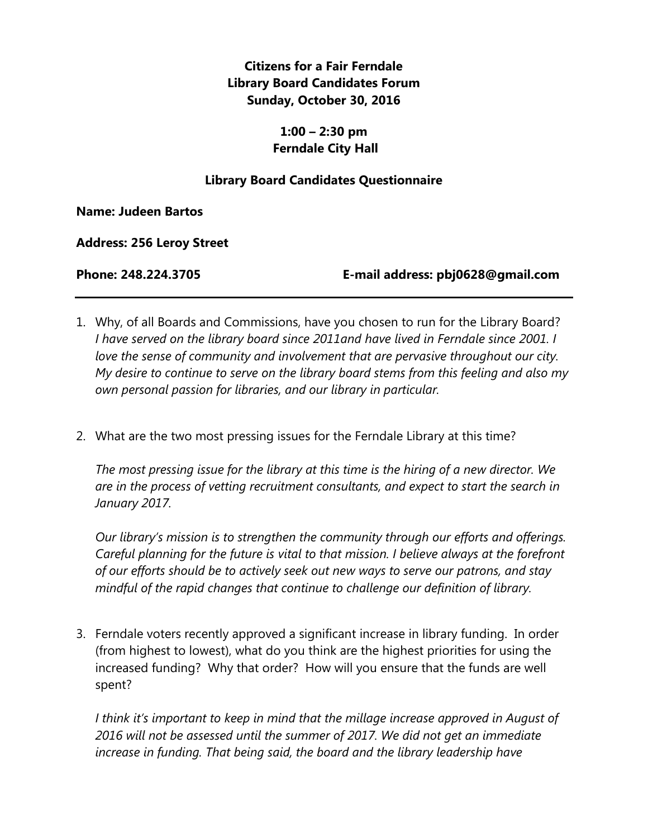## **Citizens for a Fair Ferndale Library Board Candidates Forum Sunday, October 30, 2016**

## **1:00 – 2:30 pm Ferndale City Hall**

## **Library Board Candidates Questionnaire**

**Name: Judeen Bartos**

**Address: 256 Leroy Street**

**Phone: 248.224.3705 E-mail address: pbj0628@gmail.com**

- 1. Why, of all Boards and Commissions, have you chosen to run for the Library Board? *I have served on the library board since 2011and have lived in Ferndale since 2001. I love the sense of community and involvement that are pervasive throughout our city. My desire to continue to serve on the library board stems from this feeling and also my own personal passion for libraries, and our library in particular.*
- 2. What are the two most pressing issues for the Ferndale Library at this time?

*The most pressing issue for the library at this time is the hiring of a new director. We are in the process of vetting recruitment consultants, and expect to start the search in January 2017.*

*Our library's mission is to strengthen the community through our efforts and offerings. Careful planning for the future is vital to that mission. I believe always at the forefront of our efforts should be to actively seek out new ways to serve our patrons, and stay mindful of the rapid changes that continue to challenge our definition of library.* 

3. Ferndale voters recently approved a significant increase in library funding. In order (from highest to lowest), what do you think are the highest priorities for using the increased funding? Why that order? How will you ensure that the funds are well spent?

*I think it's important to keep in mind that the millage increase approved in August of 2016 will not be assessed until the summer of 2017. We did not get an immediate increase in funding. That being said, the board and the library leadership have*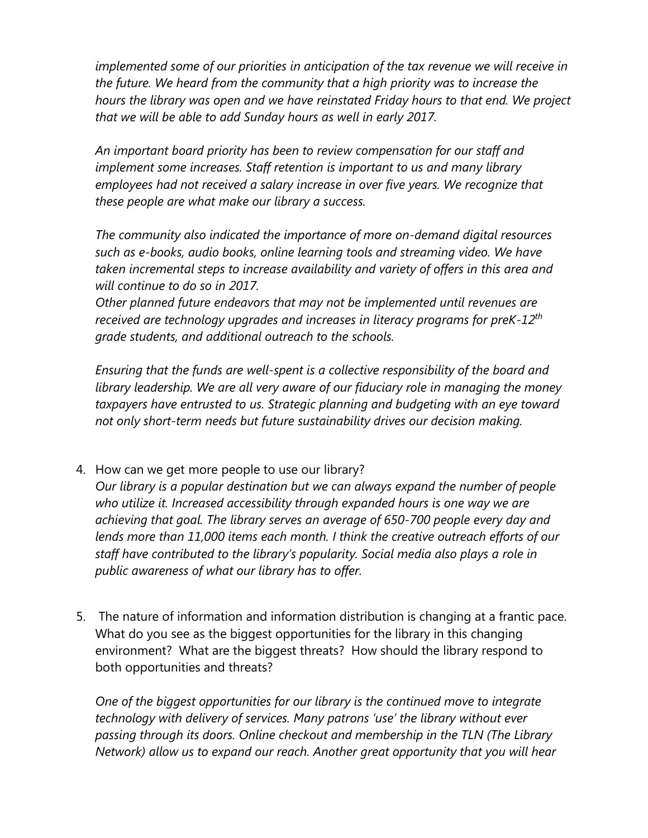*implemented some of our priorities in anticipation of the tax revenue we will receive in the future. We heard from the community that a high priority was to increase the hours the library was open and we have reinstated Friday hours to that end. We project that we will be able to add Sunday hours as well in early 2017.* 

*An important board priority has been to review compensation for our staff and implement some increases. Staff retention is important to us and many library* employees had not received a salary increase in over five years. We recognize that *these people are what make our library a success.*

*The community also indicated the importance of more on-demand digital resources such as e-books, audio books, online learning tools and streaming video. We have taken incremental steps to increase availability and variety of offers in this area and will continue to do so in 2017.*

*Other planned future endeavors that may not be implemented until revenues are received are technology upgrades and increases in literacy programs for preK-12th grade students, and additional outreach to the schools.*

*Ensuring that the funds are well-spent is a collective responsibility of the board and library leadership. We are all very aware of our fiduciary role in managing the money* taxpayers have entrusted to us. Strategic planning and budgeting with an eye toward *not only short-term needs but future sustainability drives our decision making.*

4. How can we get more people to use our library?

*Our library is a popular destination but we can always expand the number of people who utilize it. Increased accessibility through expanded hours is one way we are achieving that goal. The library serves an average of 650-700 people every day and lends more than 11,000 items each month. I think the creative outreach efforts of our staff have contributed to the library's popularity. Social media also plays a role in public awareness of what our library has to offer.*

5. The nature of information and information distribution is changing at a frantic pace. What do you see as the biggest opportunities for the library in this changing environment? What are the biggest threats? How should the library respond to both opportunities and threats?

*One of the biggest opportunities for our library is the continued move to integrate technology with delivery of services. Many patrons 'use' the library without ever passing through its doors. Online checkout and membership in the TLN (The Library Network) allow us to expand our reach. Another great opportunity that you will hear*